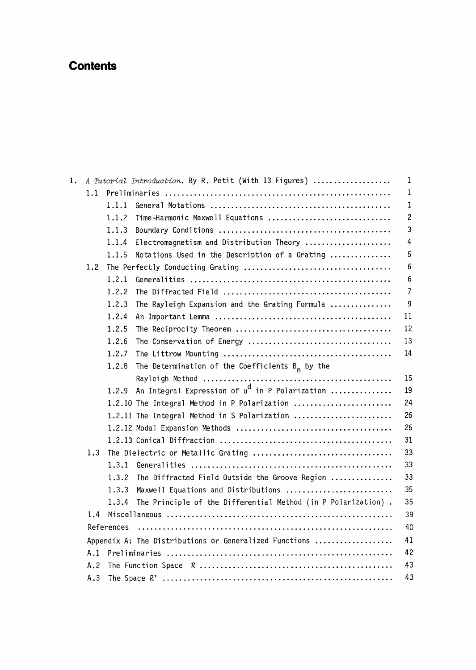## **Contents**

| 1. |            |                                                        | A Tutorial Introduction. By R. Petit (With 13 Figures)        | 1            |  |  |
|----|------------|--------------------------------------------------------|---------------------------------------------------------------|--------------|--|--|
|    | 1.1        |                                                        |                                                               | 1            |  |  |
|    |            | 1.1.1                                                  |                                                               | 1            |  |  |
|    |            | 1.1.2                                                  | Time-Harmonic Maxwell Equations                               | $\mathbf{2}$ |  |  |
|    |            | 1.1.3                                                  |                                                               | 3            |  |  |
|    |            | 1.1.4                                                  | Electromagnetism and Distribution Theory                      | 4            |  |  |
|    |            | 1.1.5                                                  | Notations Used in the Description of a Grating                | 5            |  |  |
|    | 1.2        |                                                        |                                                               | 6            |  |  |
|    |            | 1.2.1                                                  |                                                               | 6            |  |  |
|    |            | 1.2.2                                                  |                                                               | 7            |  |  |
|    |            | 1.2.3                                                  | The Rayleigh Expansion and the Grating Formula                | 9            |  |  |
|    |            | 1.2.4                                                  |                                                               | 11           |  |  |
|    |            | 1.2.5                                                  |                                                               | 12           |  |  |
|    |            | 1.2.6                                                  |                                                               | 13           |  |  |
|    |            | 1.2.7                                                  |                                                               | 14           |  |  |
|    |            | 1.2.8                                                  | The Determination of the Coefficients $B_n$ by the            |              |  |  |
|    |            |                                                        |                                                               | 15           |  |  |
|    |            | 1.2.9                                                  | An Integral Expression of u <sup>d</sup> in P Polarization    | 19           |  |  |
|    |            |                                                        | 1.2.10 The Integral Method in P Polarization                  | 24           |  |  |
|    |            |                                                        | 1.2.11 The Integral Method in S Polarization                  | 26           |  |  |
|    |            |                                                        |                                                               | 26           |  |  |
|    |            |                                                        |                                                               | 31           |  |  |
|    | 1.3        |                                                        |                                                               | 33           |  |  |
|    |            | 1.3.1                                                  |                                                               | 33           |  |  |
|    |            | 1.3.2                                                  | The Diffracted Field Outside the Groove Region                | 33           |  |  |
|    |            | 1.3.3                                                  | Maxwell Equations and Distributions                           | 35           |  |  |
|    |            | 1.3.4                                                  | The Principle of the Differential Method (in P Polarization). | 35           |  |  |
|    | 1.4        |                                                        |                                                               | 39           |  |  |
|    | References |                                                        |                                                               |              |  |  |
|    |            | Appendix A: The Distributions or Generalized Functions |                                                               |              |  |  |
|    | A.1        |                                                        |                                                               | 42           |  |  |
|    | A.2        |                                                        |                                                               | 43           |  |  |
|    | A.3        |                                                        |                                                               | 43           |  |  |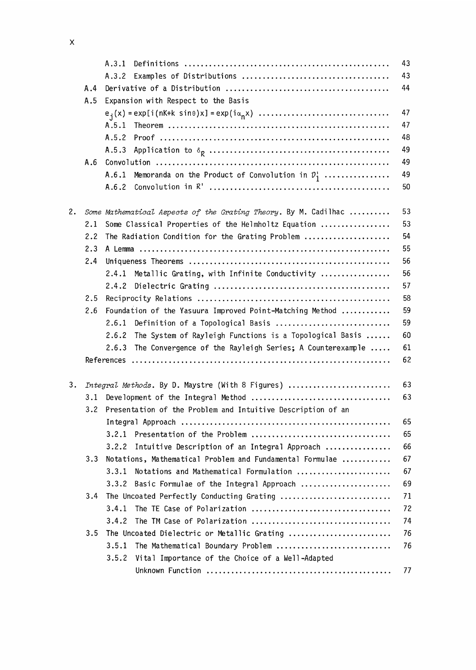|    |                                                                 | A.3.1                                                                 | 43                                                                                                                         |  |  |  |
|----|-----------------------------------------------------------------|-----------------------------------------------------------------------|----------------------------------------------------------------------------------------------------------------------------|--|--|--|
|    |                                                                 | A.3.2                                                                 | 43                                                                                                                         |  |  |  |
|    | A.4                                                             |                                                                       | 44                                                                                                                         |  |  |  |
|    | A.5                                                             | Expansion with Respect to the Basis                                   |                                                                                                                            |  |  |  |
|    |                                                                 |                                                                       | 47                                                                                                                         |  |  |  |
|    |                                                                 | A.5.1                                                                 | 47                                                                                                                         |  |  |  |
|    |                                                                 | A.5.2                                                                 | 48                                                                                                                         |  |  |  |
|    |                                                                 | A.5.3                                                                 | 49                                                                                                                         |  |  |  |
|    | A.6                                                             |                                                                       | 49                                                                                                                         |  |  |  |
|    |                                                                 | A.6.1<br>Memoranda on the Product of Convolution in $\mathcal{D}_1^1$ | 49                                                                                                                         |  |  |  |
|    |                                                                 | A.6.2                                                                 | 50                                                                                                                         |  |  |  |
| 2. |                                                                 | Some Mathematical Aspects of the Grating Theory. By M. Cadilhac       | 53                                                                                                                         |  |  |  |
|    | 2.1                                                             | Some Classical Properties of the Helmholtz Equation                   |                                                                                                                            |  |  |  |
|    | 2.2                                                             | The Radiation Condition for the Grating Problem                       |                                                                                                                            |  |  |  |
|    | 2.3                                                             |                                                                       |                                                                                                                            |  |  |  |
|    | 2.4                                                             |                                                                       |                                                                                                                            |  |  |  |
|    |                                                                 | Metallic Grating, with Infinite Conductivity<br>2.4.1                 |                                                                                                                            |  |  |  |
|    |                                                                 | 2.4.2                                                                 |                                                                                                                            |  |  |  |
|    | 2.5                                                             | 58                                                                    |                                                                                                                            |  |  |  |
|    | 2.6<br>Foundation of the Yasuura Improved Point-Matching Method |                                                                       | 59                                                                                                                         |  |  |  |
|    |                                                                 | 2.6.1<br>Definition of a Topological Basis                            |                                                                                                                            |  |  |  |
|    |                                                                 | 2.6.2<br>The System of Rayleigh Functions is a Topological Basis      | 60                                                                                                                         |  |  |  |
|    |                                                                 | 2.6.3<br>The Convergence of the Rayleigh Series; A Counterexample     | 61                                                                                                                         |  |  |  |
|    |                                                                 |                                                                       | 62                                                                                                                         |  |  |  |
| з. |                                                                 | Integral Methods. By D. Maystre (With 8 Figures)                      |                                                                                                                            |  |  |  |
|    | 3.1                                                             | Development of the Integral Method                                    |                                                                                                                            |  |  |  |
|    | 3.2                                                             | Presentation of the Problem and Intuitive Description of an           | 53<br>54<br>55<br>56<br>56<br>57<br>59<br>63<br>63<br>65<br>65<br>66<br>67<br>67<br>69<br>71<br>72<br>74<br>76<br>76<br>77 |  |  |  |
|    |                                                                 |                                                                       |                                                                                                                            |  |  |  |
|    |                                                                 | 3.2.1                                                                 |                                                                                                                            |  |  |  |
|    |                                                                 | Intuitive Description of an Integral Approach<br>3.2.2                |                                                                                                                            |  |  |  |
|    | 3.3                                                             | Notations, Mathematical Problem and Fundamental Formulae              |                                                                                                                            |  |  |  |
|    |                                                                 | 3.3.1<br>Notations and Mathematical Formulation                       |                                                                                                                            |  |  |  |
|    |                                                                 | 3.3.2<br>Basic Formulae of the Integral Approach                      |                                                                                                                            |  |  |  |
|    | 3.4                                                             | The Uncoated Perfectly Conducting Grating                             |                                                                                                                            |  |  |  |
|    |                                                                 | 3.4.1                                                                 |                                                                                                                            |  |  |  |
|    |                                                                 | 3.4.2                                                                 |                                                                                                                            |  |  |  |
|    | 3.5                                                             | The Uncoated Dielectric or Metallic Grating                           |                                                                                                                            |  |  |  |
|    |                                                                 | 3.5.1<br>The Mathematical Boundary Problem                            |                                                                                                                            |  |  |  |
|    |                                                                 | 3.5.2<br>Vital Importance of the Choice of a Well-Adapted             |                                                                                                                            |  |  |  |
|    |                                                                 |                                                                       |                                                                                                                            |  |  |  |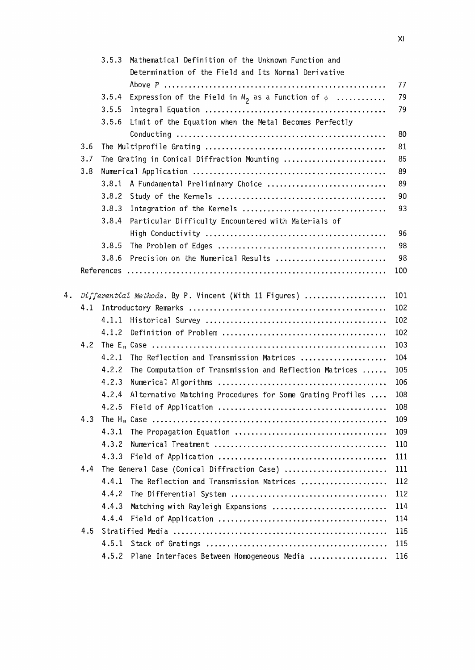|    |     | 3.5.3 | Mathematical Definition of the Unknown Function and       |     |
|----|-----|-------|-----------------------------------------------------------|-----|
|    |     |       | Determination of the Field and Its Normal Derivative      |     |
|    |     |       |                                                           | 77  |
|    |     | 3.5.4 | Expression of the Field in $M_2$ as a Function of $\phi$  | 79  |
|    |     | 3.5.5 |                                                           | 79  |
|    |     | 3.5.6 | Limit of the Equation when the Metal Becomes Perfectly    |     |
|    |     |       |                                                           | 80  |
|    | 3.6 |       |                                                           | 81  |
|    | 3.7 |       | The Grating in Conical Diffraction Mounting               | 85  |
|    | 3.8 |       |                                                           | 89  |
|    |     | 3.8.1 | A Fundamental Preliminary Choice                          | 89  |
|    |     | 3.8.2 |                                                           | 90  |
|    |     | 3.8.3 |                                                           | 93  |
|    |     | 3.8.4 | Particular Difficulty Encountered with Materials of       |     |
|    |     |       |                                                           | 96  |
|    |     | 3.8.5 |                                                           | 98  |
|    |     | 3.8.6 | Precision on the Numerical Results                        | 98  |
|    |     |       |                                                           | 100 |
| 4. |     |       | Differential Methods. By P. Vincent (With 11 Figures)     | 101 |
|    | 4.1 |       |                                                           | 102 |
|    |     | 4.1.1 |                                                           | 102 |
|    |     | 4.1.2 |                                                           | 102 |
|    | 4.2 |       |                                                           | 103 |
|    |     | 4.2.1 | The Reflection and Transmission Matrices                  | 104 |
|    |     | 4.2.2 | The Computation of Transmission and Reflection Matrices   | 105 |
|    |     | 4.2.3 |                                                           | 106 |
|    |     | 4.2.4 | Alternative Matching Procedures for Some Grating Profiles | 108 |
|    |     | 4.2.5 |                                                           | 108 |
|    | 4.3 |       |                                                           | 109 |
|    |     | 4.3.1 |                                                           | 109 |
|    |     | 4.3.2 |                                                           | 110 |
|    |     | 4.3.3 |                                                           | 111 |
|    | 4.4 |       | The General Case (Conical Diffraction Case)               | 111 |
|    |     | 4.4.1 | The Reflection and Transmission Matrices                  | 112 |
|    |     | 4.4.2 |                                                           | 112 |
|    |     | 4.4.3 | Matching with Rayleigh Expansions                         | 114 |
|    |     | 4.4.4 |                                                           | 114 |
|    | 4.5 |       |                                                           | 115 |
|    |     | 4.5.1 |                                                           | 115 |
|    |     | 4.5.2 | Plane Interfaces Between Homogeneous Media                | 116 |
|    |     |       |                                                           |     |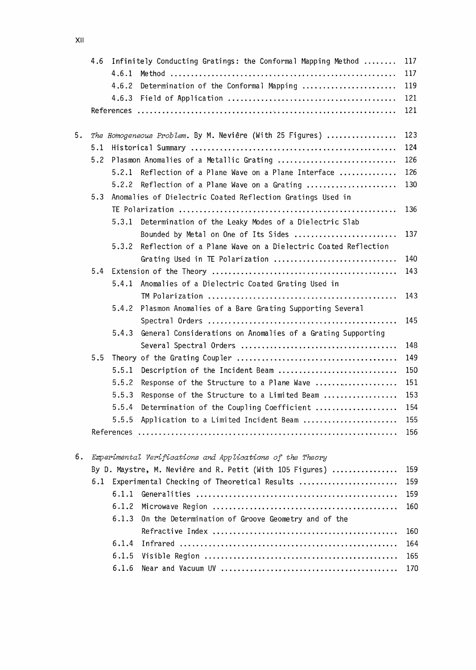|    | Infinitely Conducting Gratings: the Conformal Mapping Method<br>4.6 |       |                                                                                          |            |
|----|---------------------------------------------------------------------|-------|------------------------------------------------------------------------------------------|------------|
|    |                                                                     | 4.6.1 |                                                                                          | 117        |
|    |                                                                     | 4.6.2 | Determination of the Conformal Mapping                                                   | 119        |
|    |                                                                     |       |                                                                                          | 121        |
|    |                                                                     |       |                                                                                          | 121        |
|    |                                                                     |       |                                                                                          |            |
| 5. | The Homogeneous Problem. By M. Nevière (With 25 Figures)            |       |                                                                                          |            |
|    | 5.1                                                                 |       |                                                                                          | 124        |
|    | 5.2                                                                 |       | Plasmon Anomalies of a Metallic Grating                                                  | 126        |
|    |                                                                     |       | 5.2.1 Reflection of a Plane Wave on a Plane Interface                                    | 126        |
|    |                                                                     | 5.2.2 | Reflection of a Plane Wave on a Grating                                                  | 130        |
|    | 5.3                                                                 |       | Anomalies of Dielectric Coated Reflection Gratings Used in                               |            |
|    |                                                                     |       |                                                                                          | 136        |
|    |                                                                     | 5.3.1 | Determination of the Leaky Modes of a Dielectric Slab                                    |            |
|    |                                                                     |       | Bounded by Metal on One of Its Sides                                                     | 137        |
|    |                                                                     | 5.3.2 | Reflection of a Plane Wave on a Dielectric Coated Reflection                             |            |
|    |                                                                     |       | Grating Used in TE Polarization                                                          | 140        |
|    | 5.4                                                                 |       |                                                                                          | 143        |
|    |                                                                     | 5.4.1 | Anomalies of a Dielectric Coated Grating Used in                                         |            |
|    |                                                                     |       |                                                                                          | 143        |
|    |                                                                     | 5.4.2 | Plasmon Anomalies of a Bare Grating Supporting Several                                   |            |
|    |                                                                     |       |                                                                                          | 145        |
|    |                                                                     | 5.4.3 | General Considerations on Anomalies of a Grating Supporting                              |            |
|    |                                                                     |       |                                                                                          | 148        |
|    | 5.5                                                                 | 5.5.1 |                                                                                          | 149        |
|    |                                                                     | 5.5.2 | Description of the Incident Beam                                                         | 150<br>151 |
|    |                                                                     | 5.5.3 | Response of the Structure to a Plane Wave<br>Response of the Structure to a Limited Beam | 153        |
|    |                                                                     | 5.5.4 | Determination of the Coupling Coefficient                                                | 154        |
|    |                                                                     | 5.5.5 | Application to a Limited Incident Beam                                                   | 155        |
|    |                                                                     |       |                                                                                          | 156        |
|    |                                                                     |       |                                                                                          |            |
| 6. |                                                                     |       | Experimental Verifications and Applications of the Theory                                |            |
|    |                                                                     |       | By D. Maystre, M. Nevière and R. Petit (With 105 Figures)                                | 159        |
|    | 6.1                                                                 |       | Experimental Checking of Theoretical Results                                             | 159        |
|    |                                                                     | 6.1.1 |                                                                                          | 159        |
|    |                                                                     | 6.1.2 |                                                                                          | 160        |
|    |                                                                     | 6.1.3 | On the Determination of Groove Geometry and of the                                       |            |
|    |                                                                     |       |                                                                                          | 160        |
|    |                                                                     | 6.1.4 |                                                                                          | 164        |
|    |                                                                     | 6.1.5 |                                                                                          | 165        |
|    |                                                                     | 6.1.6 |                                                                                          | 170        |
|    |                                                                     |       |                                                                                          |            |

 $x_{\text{II}}$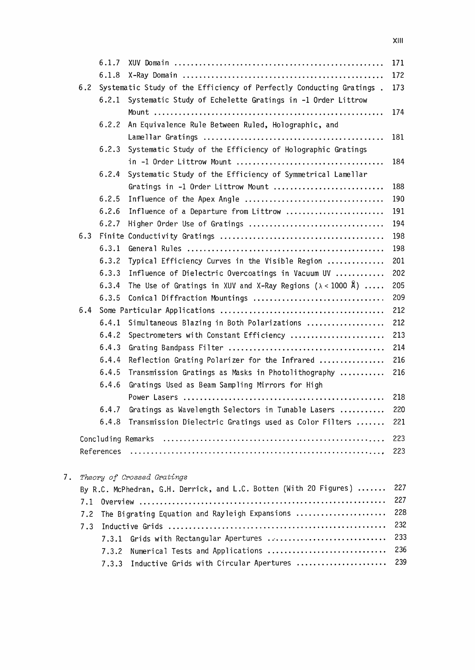|    |     | 6.1.7      |                                                                         | 171 |
|----|-----|------------|-------------------------------------------------------------------------|-----|
|    |     | 6.1.8      |                                                                         | 172 |
|    | 6.2 |            | Systematic Study of the Efficiency of Perfectly Conducting Gratings.    | 173 |
|    |     | 6.2.1      | Systematic Study of Echelette Gratings in -1 Order Littrow              |     |
|    |     |            |                                                                         | 174 |
|    |     | 6.2.2      | An Equivalence Rule Between Ruled, Holographic, and                     |     |
|    |     |            |                                                                         | 181 |
|    |     | 6.2.3      | Systematic Study of the Efficiency of Holographic Gratings              |     |
|    |     |            |                                                                         | 184 |
|    |     | 6.2.4      | Systematic Study of the Efficiency of Symmetrical Lamellar              |     |
|    |     |            | Gratings in -1 Order Littrow Mount                                      | 188 |
|    |     | 6.2.5      | Influence of the Apex Angle                                             | 190 |
|    |     | 6.2.6      | Influence of a Departure from Littrow                                   | 191 |
|    |     | 6.2.7      | Higher Order Use of Gratings                                            | 194 |
|    | 6.3 |            |                                                                         | 198 |
|    |     | 6.3.1      |                                                                         | 198 |
|    |     | 6.3.2      | Typical Efficiency Curves in the Visible Region                         | 201 |
|    |     | 6.3.3      | Influence of Dielectric Overcoatings in Vacuum UV                       | 202 |
|    |     | 6.3.4      | The Use of Gratings in XUV and X-Ray Regions ( $\lambda < 1000$ Å)      | 205 |
|    |     | 6.3.5      | Conical Diffraction Mountings                                           | 209 |
|    | 6.4 |            |                                                                         | 212 |
|    |     | 6.4.1      | Simultaneous Blazing in Both Polarizations                              | 212 |
|    |     | 6.4.2      | Spectrometers with Constant Efficiency                                  | 213 |
|    |     | 6.4.3      |                                                                         | 214 |
|    |     | 6.4.4      | Reflection Grating Polarizer for the Infrared                           | 216 |
|    |     | 6.4.5      | Transmission Gratings as Masks in Photolithography                      | 216 |
|    |     | 6.4.6      | Gratings Used as Beam Sampling Mirrors for High                         |     |
|    |     |            |                                                                         | 218 |
|    |     | 6.4.7      | Gratings as Wavelength Selectors in Tunable Lasers                      | 220 |
|    |     | 6.4.8      | Transmission Dielectric Gratings used as Color Filters                  | 221 |
|    |     |            |                                                                         | 223 |
|    |     | References |                                                                         | 223 |
| 7. |     |            | Theory of Crossed Gratings                                              |     |
|    |     |            | By R.C. McPhedran, G.H. Derrick, and L.C. Botten (With 20 Figures)  227 |     |
|    |     |            |                                                                         | 227 |

| 7.2 The Bigrating Equation and Rayleigh Expansions  228 |
|---------------------------------------------------------|
|                                                         |
| 7.3.1 Grids with Rectangular Apertures  233             |
| 7.3.2 Numerical Tests and Applications  236             |
| 7.3.3 Inductive Grids with Circular Apertures  239      |
|                                                         |